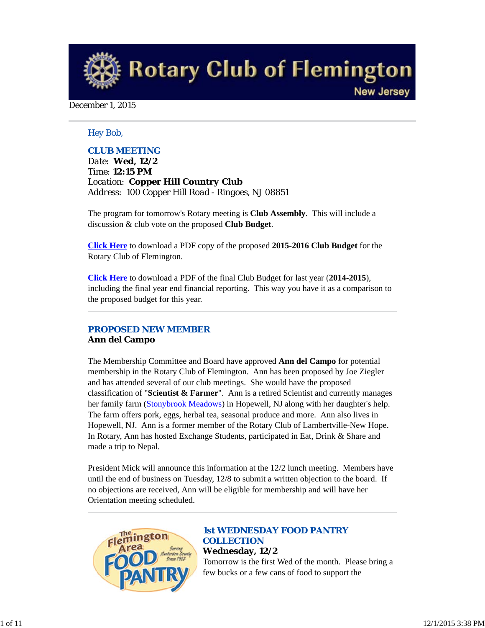**Rotary Club of Flemington New Jersey** 

### December 1, 2015

### *Hey Bob,*

### *CLUB MEETING*

*Date: Wed, 12/2 Time: 12:15 PM Location: Copper Hill Country Club Address: 100 Copper Hill Road - Ringoes, NJ 08851*

The program for tomorrow's Rotary meeting is **Club Assembly**. This will include a discussion & club vote on the proposed **Club Budget**.

**Click Here** to download a PDF copy of the proposed **2015-2016 Club Budget** for the Rotary Club of Flemington.

**Click Here** to download a PDF of the final Club Budget for last year (**2014-2015**), including the final year end financial reporting. This way you have it as a comparison to the proposed budget for this year.

## *PROPOSED NEW MEMBER* **Ann del Campo**

The Membership Committee and Board have approved **Ann del Campo** for potential membership in the Rotary Club of Flemington. Ann has been proposed by Joe Ziegler and has attended several of our club meetings. She would have the proposed classification of "**Scientist & Farmer**". Ann is a retired Scientist and currently manages her family farm (Stonybrook Meadows) in Hopewell, NJ along with her daughter's help. The farm offers pork, eggs, herbal tea, seasonal produce and more. Ann also lives in Hopewell, NJ. Ann is a former member of the Rotary Club of Lambertville-New Hope. In Rotary, Ann has hosted Exchange Students, participated in Eat, Drink & Share and made a trip to Nepal.

President Mick will announce this information at the 12/2 lunch meeting. Members have until the end of business on Tuesday, 12/8 to submit a written objection to the board. If no objections are received, Ann will be eligible for membership and will have her Orientation meeting scheduled.



## *1st WEDNESDAY FOOD PANTRY COLLECTION* **Wednesday, 12/2**

Tomorrow is the first Wed of the month. Please bring a few bucks or a few cans of food to support the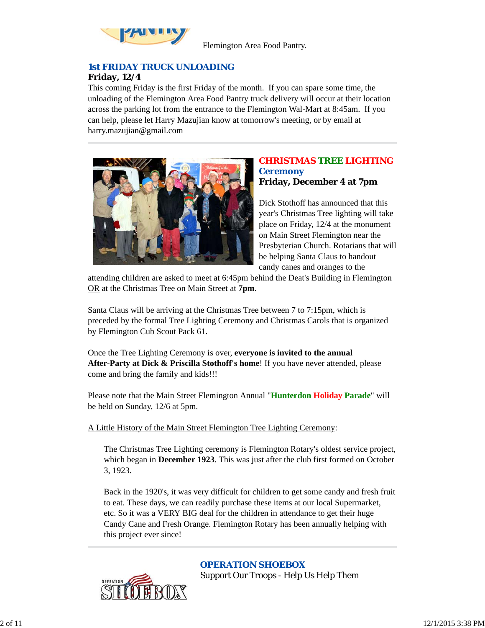

Flemington Area Food Pantry.

## *1st FRIDAY TRUCK UNLOADING* **Friday, 12/4**

This coming Friday is the first Friday of the month. If you can spare some time, the unloading of the Flemington Area Food Pantry truck delivery will occur at their location across the parking lot from the entrance to the Flemington Wal-Mart at 8:45am. If you can help, please let Harry Mazujian know at tomorrow's meeting, or by email at harry.mazujian@gmail.com



## *CHRISTMAS TREE LIGHTING Ceremony* **Friday, December 4 at 7pm**

Dick Stothoff has announced that this year's Christmas Tree lighting will take place on Friday, 12/4 at the monument on Main Street Flemington near the Presbyterian Church. Rotarians that will be helping Santa Claus to handout candy canes and oranges to the

attending children are asked to meet at 6:45pm behind the Deat's Building in Flemington OR at the Christmas Tree on Main Street at **7pm**.

Santa Claus will be arriving at the Christmas Tree between 7 to 7:15pm, which is preceded by the formal Tree Lighting Ceremony and Christmas Carols that is organized by Flemington Cub Scout Pack 61.

Once the Tree Lighting Ceremony is over, **everyone is invited to the annual After-Party at Dick & Priscilla Stothoff's home**! If you have never attended, please come and bring the family and kids!!!

Please note that the Main Street Flemington Annual "**Hunterdon Holiday Parade**" will be held on Sunday, 12/6 at 5pm.

## A Little History of the Main Street Flemington Tree Lighting Ceremony:

The Christmas Tree Lighting ceremony is Flemington Rotary's oldest service project, which began in **December 1923**. This was just after the club first formed on October 3, 1923.

Back in the 1920's, it was very difficult for children to get some candy and fresh fruit to eat. These days, we can readily purchase these items at our local Supermarket, etc. So it was a VERY BIG deal for the children in attendance to get their huge Candy Cane and Fresh Orange. Flemington Rotary has been annually helping with this project ever since!



*OPERATION SHOEBOX*

Support Our Troops - Help Us Help Them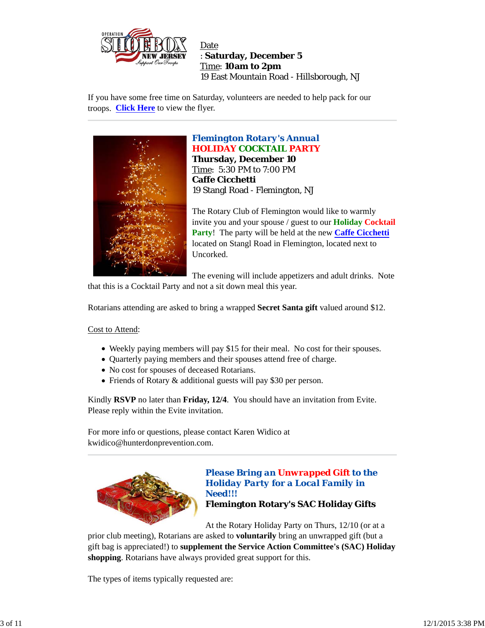

Date : **Saturday, December 5** Time: **10am to 2pm** 19 East Mountain Road - Hillsborough, NJ

If you have some free time on Saturday, volunteers are needed to help pack for our troops. **Click Here** to view the flyer.



# *Flemington Rotary's Annual* **HOLIDAY COCKTAIL PARTY**

**Thursday, December 10** Time: 5:30 PM to 7:00 PM **Caffe Cicchetti** 19 Stangl Road - Flemington, NJ

The Rotary Club of Flemington would like to warmly invite you and your spouse / guest to our **Holiday Cocktail Party**! The party will be held at the new **Caffe Cicchetti** located on Stangl Road in Flemington, located next to Uncorked.

The evening will include appetizers and adult drinks. Note that this is a Cocktail Party and not a sit down meal this year.

Rotarians attending are asked to bring a wrapped **Secret Santa gift** valued around \$12.

### Cost to Attend:

- Weekly paying members will pay \$15 for their meal. No cost for their spouses.
- Quarterly paying members and their spouses attend free of charge.
- No cost for spouses of deceased Rotarians.
- Friends of Rotary & additional guests will pay \$30 per person.

Kindly **RSVP** no later than **Friday, 12/4**. You should have an invitation from Evite. Please reply within the Evite invitation.

For more info or questions, please contact Karen Widico at kwidico@hunterdonprevention.com.



## *Please Bring an Unwrapped Gift to the Holiday Party for a Local Family in Need!!!* **Flemington Rotary's SAC Holiday Gifts**

At the Rotary Holiday Party on Thurs, 12/10 (or at a

prior club meeting), Rotarians are asked to **voluntarily** bring an unwrapped gift (but a gift bag is appreciated!) to **supplement the Service Action Committee's (SAC) Holiday shopping**. Rotarians have always provided great support for this.

The types of items typically requested are: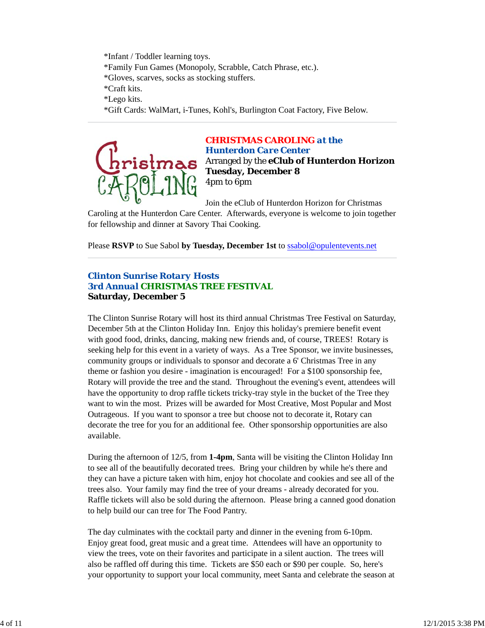\*Infant / Toddler learning toys. \*Family Fun Games (Monopoly, Scrabble, Catch Phrase, etc.). \*Gloves, scarves, socks as stocking stuffers. \*Craft kits. \*Lego kits.

\*Gift Cards: WalMart, i-Tunes, Kohl's, Burlington Coat Factory, Five Below.



*CHRISTMAS CAROLING at the Hunterdon Care Center* Arranged by the **eClub of Hunterdon Horizon Tuesday, December 8** 4pm to 6pm

Join the eClub of Hunterdon Horizon for Christmas

Caroling at the Hunterdon Care Center. Afterwards, everyone is welcome to join together for fellowship and dinner at Savory Thai Cooking.

Please **RSVP** to Sue Sabol **by Tuesday, December 1st** to ssabol@opulentevents.net

## *Clinton Sunrise Rotary Hosts 3rd Annual CHRISTMAS TREE FESTIVAL* **Saturday, December 5**

The Clinton Sunrise Rotary will host its third annual Christmas Tree Festival on Saturday, December 5th at the Clinton Holiday Inn. Enjoy this holiday's premiere benefit event with good food, drinks, dancing, making new friends and, of course, TREES! Rotary is seeking help for this event in a variety of ways. As a Tree Sponsor, we invite businesses, community groups or individuals to sponsor and decorate a 6' Christmas Tree in any theme or fashion you desire - imagination is encouraged! For a \$100 sponsorship fee, Rotary will provide the tree and the stand. Throughout the evening's event, attendees will have the opportunity to drop raffle tickets tricky-tray style in the bucket of the Tree they want to win the most. Prizes will be awarded for Most Creative, Most Popular and Most Outrageous. If you want to sponsor a tree but choose not to decorate it, Rotary can decorate the tree for you for an additional fee. Other sponsorship opportunities are also available.

During the afternoon of 12/5, from **1-4pm**, Santa will be visiting the Clinton Holiday Inn to see all of the beautifully decorated trees. Bring your children by while he's there and they can have a picture taken with him, enjoy hot chocolate and cookies and see all of the trees also. Your family may find the tree of your dreams - already decorated for you. Raffle tickets will also be sold during the afternoon. Please bring a canned good donation to help build our can tree for The Food Pantry.

The day culminates with the cocktail party and dinner in the evening from 6-10pm. Enjoy great food, great music and a great time. Attendees will have an opportunity to view the trees, vote on their favorites and participate in a silent auction. The trees will also be raffled off during this time. Tickets are \$50 each or \$90 per couple. So, here's your opportunity to support your local community, meet Santa and celebrate the season at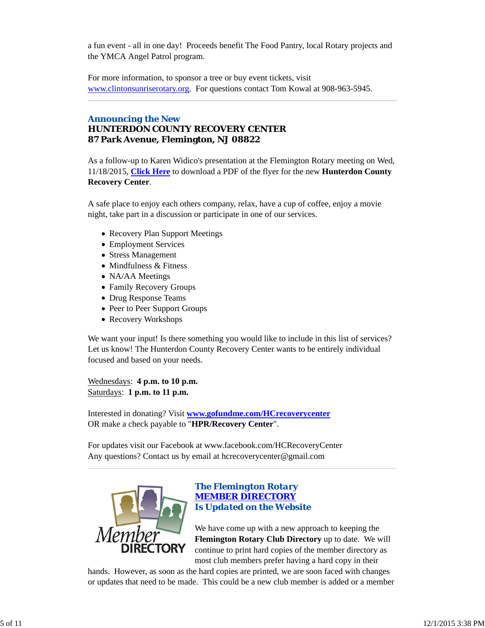a fun event - all in one day! Proceeds benefit The Food Pantry, local Rotary projects and the YMCA Angel Patrol program.

For more information, to sponsor a tree or buy event tickets, visit www.clintonsunriserotary.org. For questions contact Tom Kowal at 908-963-5945.

## *Announcing the New HUNTERDON COUNTY RECOVERY CENTER* **87 Park Avenue, Flemington, NJ 08822**

As a follow-up to Karen Widico's presentation at the Flemington Rotary meeting on Wed, 11/18/2015, **Click Here** to download a PDF of the flyer for the new **Hunterdon County Recovery Center**.

A safe place to enjoy each others company, relax, have a cup of coffee, enjoy a movie night, take part in a discussion or participate in one of our services.

- Recovery Plan Support Meetings
- Employment Services
- Stress Management
- Mindfulness & Fitness
- NA/AA Meetings
- Family Recovery Groups
- Drug Response Teams
- Peer to Peer Support Groups
- Recovery Workshops

We want your input! Is there something you would like to include in this list of services? Let us know! The Hunterdon County Recovery Center wants to be entirely individual focused and based on your needs.

Wednesdays: **4 p.m. to 10 p.m.** Saturdays: **1 p.m. to 11 p.m.**

Interested in donating? Visit **www.gofundme.com/HCrecoverycenter** OR make a check payable to "**HPR/Recovery Center**".

For updates visit our Facebook at www.facebook.com/HCRecoveryCenter Any questions? Contact us by email at hcrecoverycenter@gmail.com



## *The Flemington Rotary MEMBER DIRECTORY Is Updated on the Website*

We have come up with a new approach to keeping the **Flemington Rotary Club Directory** up to date. We will continue to print hard copies of the member directory as most club members prefer having a hard copy in their

hands. However, as soon as the hard copies are printed, we are soon faced with changes or updates that need to be made. This could be a new club member is added or a member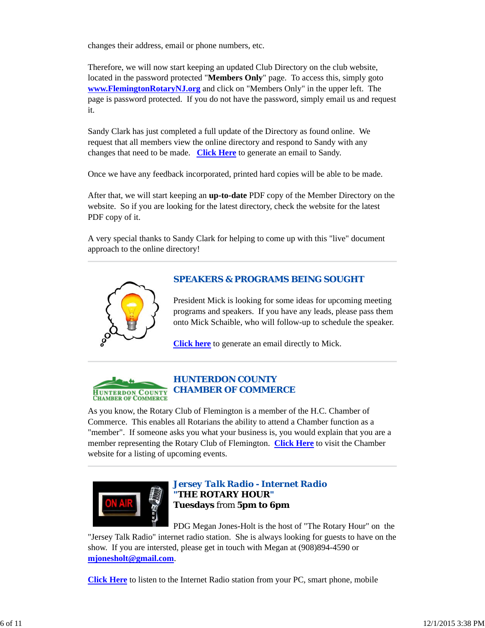changes their address, email or phone numbers, etc.

Therefore, we will now start keeping an updated Club Directory on the club website, located in the password protected "**Members Only**" page. To access this, simply goto **www.FlemingtonRotaryNJ.org** and click on "Members Only" in the upper left. The page is password protected. If you do not have the password, simply email us and request it.

Sandy Clark has just completed a full update of the Directory as found online. We request that all members view the online directory and respond to Sandy with any changes that need to be made. **Click Here** to generate an email to Sandy.

Once we have any feedback incorporated, printed hard copies will be able to be made.

After that, we will start keeping an **up-to-date** PDF copy of the Member Directory on the website. So if you are looking for the latest directory, check the website for the latest PDF copy of it.

A very special thanks to Sandy Clark for helping to come up with this "live" document approach to the online directory!



## *SPEAKERS & PROGRAMS BEING SOUGHT*

President Mick is looking for some ideas for upcoming meeting programs and speakers. If you have any leads, please pass them onto Mick Schaible, who will follow-up to schedule the speaker.

**Click here** to generate an email directly to Mick.



## *HUNTERDON COUNTY CHAMBER OF COMMERCE*

As you know, the Rotary Club of Flemington is a member of the H.C. Chamber of Commerce. This enables all Rotarians the ability to attend a Chamber function as a "member". If someone asks you what your business is, you would explain that you are a member representing the Rotary Club of Flemington. **Click Here** to visit the Chamber website for a listing of upcoming events.



## *Jersey Talk Radio - Internet Radio "THE ROTARY HOUR"* **Tuesdays** from **5pm to 6pm**

PDG Megan Jones-Holt is the host of "The Rotary Hour" on the "Jersey Talk Radio" internet radio station. She is always looking for guests to have on the show. If you are intersted, please get in touch with Megan at (908)894-4590 or **mjonesholt@gmail.com**.

**Click Here** to listen to the Internet Radio station from your PC, smart phone, mobile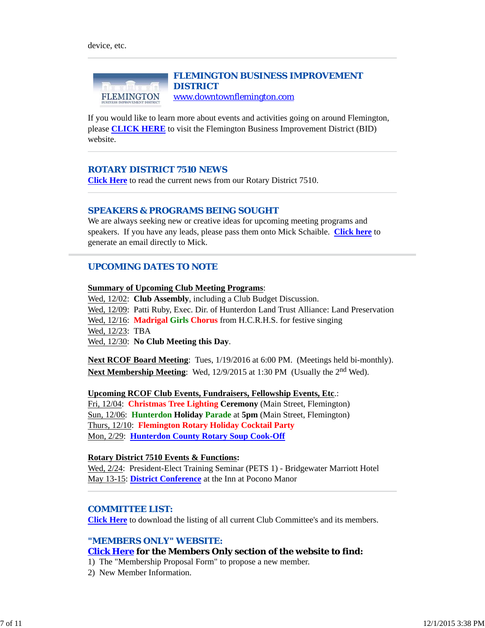

If you would like to learn more about events and activities going on around Flemington, please **CLICK HERE** to visit the Flemington Business Improvement District (BID) website.

### *ROTARY DISTRICT 7510 NEWS*

**Click Here** to read the current news from our Rotary District 7510.

#### *SPEAKERS & PROGRAMS BEING SOUGHT*

We are always seeking new or creative ideas for upcoming meeting programs and speakers. If you have any leads, please pass them onto Mick Schaible. **Click here** to generate an email directly to Mick.

### *UPCOMING DATES TO NOTE*

#### **Summary of Upcoming Club Meeting Programs**:

Wed, 12/02: **Club Assembly**, including a Club Budget Discussion. Wed, 12/09: Patti Ruby, Exec. Dir. of Hunterdon Land Trust Alliance: Land Preservation Wed, 12/16: **Madrigal Girls Chorus** from H.C.R.H.S. for festive singing Wed, 12/23: TBA Wed, 12/30: **No Club Meeting this Day**.

**Next RCOF Board Meeting**: Tues, 1/19/2016 at 6:00 PM. (Meetings held bi-monthly). **Next Membership Meeting**: Wed, 12/9/2015 at 1:30 PM (Usually the 2<sup>nd</sup> Wed).

**Upcoming RCOF Club Events, Fundraisers, Fellowship Events, Etc**.: Fri, 12/04: **Christmas Tree Lighting Ceremony** (Main Street, Flemington) Sun, 12/06: **Hunterdon Holiday Parade** at **5pm** (Main Street, Flemington) Thurs, 12/10: **Flemington Rotary Holiday Cocktail Party** Mon, 2/29: **Hunterdon County Rotary Soup Cook-Off**

#### **Rotary District 7510 Events & Functions:**

Wed, 2/24: President-Elect Training Seminar (PETS 1) - Bridgewater Marriott Hotel May 13-15: **District Conference** at the Inn at Pocono Manor

#### *COMMITTEE LIST:*

**Click Here** to download the listing of all current Club Committee's and its members.

### *"MEMBERS ONLY" WEBSITE:*

#### **Click Here for the Members Only section of the website to find:**

1) The "Membership Proposal Form" to propose a new member.

2) New Member Information.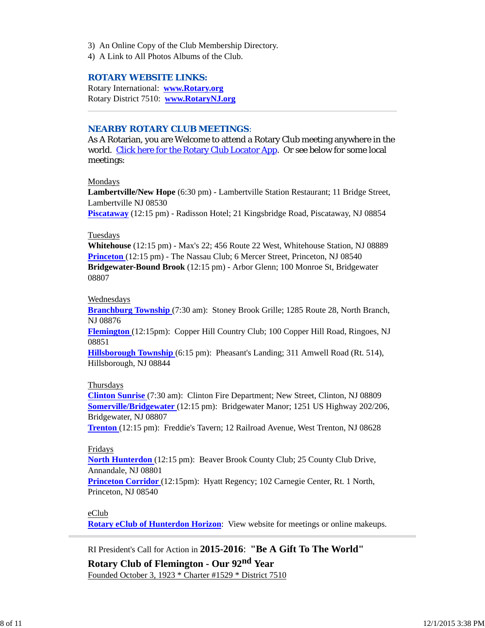- 3) An Online Copy of the Club Membership Directory.
- 4) A Link to All Photos Albums of the Club.

### *ROTARY WEBSITE LINKS:*

Rotary International: **www.Rotary.org** Rotary District 7510: **www.RotaryNJ.org**

### *NEARBY ROTARY CLUB MEETINGS:*

As A Rotarian, you are Welcome to attend a Rotary Club meeting anywhere in the world. Click here for the Rotary Club Locator App. Or see below for some local meetings:

Mondays

**Lambertville/New Hope** (6:30 pm) - Lambertville Station Restaurant; 11 Bridge Street, Lambertville NJ 08530

**Piscataway** (12:15 pm) - Radisson Hotel; 21 Kingsbridge Road, Piscataway, NJ 08854

#### Tuesdays

**Whitehouse** (12:15 pm) - Max's 22; 456 Route 22 West, Whitehouse Station, NJ 08889 **Princeton** (12:15 pm) - The Nassau Club; 6 Mercer Street, Princeton, NJ 08540 **Bridgewater-Bound Brook** (12:15 pm) - Arbor Glenn; 100 Monroe St, Bridgewater 08807

#### Wednesdays

**Branchburg Township** (7:30 am): Stoney Brook Grille; 1285 Route 28, North Branch, NJ 08876

**Flemington** (12:15pm): Copper Hill Country Club; 100 Copper Hill Road, Ringoes, NJ 08851

**Hillsborough Township** (6:15 pm): Pheasant's Landing; 311 Amwell Road (Rt. 514), Hillsborough, NJ 08844

#### Thursdays

**Clinton Sunrise** (7:30 am): Clinton Fire Department; New Street, Clinton, NJ 08809 **Somerville/Bridgewater** (12:15 pm): Bridgewater Manor; 1251 US Highway 202/206, Bridgewater, NJ 08807

**Trenton** (12:15 pm): Freddie's Tavern; 12 Railroad Avenue, West Trenton, NJ 08628

### Fridays

**North Hunterdon** (12:15 pm): Beaver Brook County Club; 25 County Club Drive, Annandale, NJ 08801

**Princeton Corridor** (12:15pm): Hyatt Regency; 102 Carnegie Center, Rt. 1 North, Princeton, NJ 08540

#### eClub

**Rotary eClub of Hunterdon Horizon**: View website for meetings or online makeups.

RI President's Call for Action in **2015-2016**: **"Be A Gift To The World"**

**Rotary Club of Flemington - Our 92nd Year** Founded October 3, 1923 \* Charter #1529 \* District 7510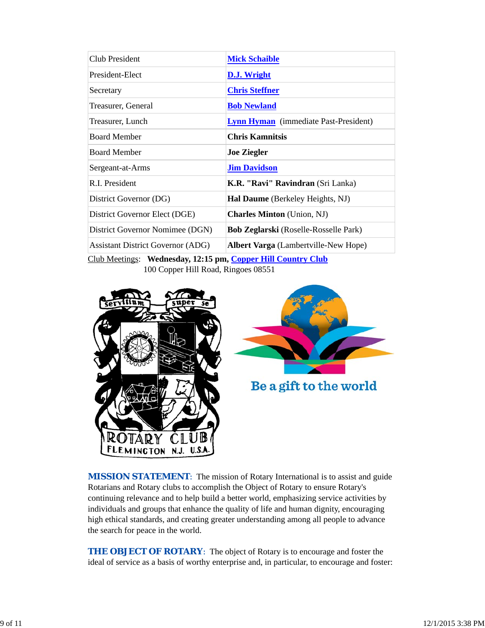| <b>Club President</b>                    | <b>Mick Schaible</b>                         |
|------------------------------------------|----------------------------------------------|
| President-Elect                          | D.J. Wright                                  |
| Secretary                                | <b>Chris Steffner</b>                        |
| Treasurer, General                       | <b>Bob Newland</b>                           |
| Treasurer, Lunch                         | <b>Lynn Hyman</b> (immediate Past-President) |
| <b>Board Member</b>                      | <b>Chris Kamnitsis</b>                       |
| <b>Board Member</b>                      | <b>Joe Ziegler</b>                           |
| Sergeant-at-Arms                         | <b>Jim Davidson</b>                          |
| R.I. President                           | K.R. "Ravi" Ravindran (Sri Lanka)            |
| District Governor (DG)                   | Hal Daume (Berkeley Heights, NJ)             |
| District Governor Elect (DGE)            | <b>Charles Minton</b> (Union, NJ)            |
| District Governor Nomimee (DGN)          | <b>Bob Zeglarski</b> (Roselle-Rosselle Park) |
| <b>Assistant District Governor (ADG)</b> | <b>Albert Varga</b> (Lambertville-New Hope)  |

Club Meetings: **Wednesday, 12:15 pm, Copper Hill Country Club** 100 Copper Hill Road, Ringoes 08551





Be a gift to the world

**MISSION STATEMENT:** The mission of Rotary International is to assist and guide Rotarians and Rotary clubs to accomplish the Object of Rotary to ensure Rotary's continuing relevance and to help build a better world, emphasizing service activities by individuals and groups that enhance the quality of life and human dignity, encouraging high ethical standards, and creating greater understanding among all people to advance the search for peace in the world.

**THE OBJECT OF ROTARY:** The object of Rotary is to encourage and foster the ideal of service as a basis of worthy enterprise and, in particular, to encourage and foster: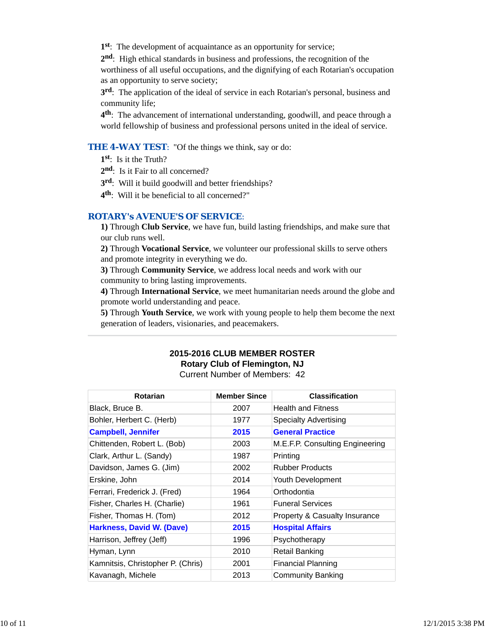**1st**: The development of acquaintance as an opportunity for service;

**2nd**: High ethical standards in business and professions, the recognition of the worthiness of all useful occupations, and the dignifying of each Rotarian's occupation as an opportunity to serve society;

**3rd**: The application of the ideal of service in each Rotarian's personal, business and community life;

**4th**: The advancement of international understanding, goodwill, and peace through a world fellowship of business and professional persons united in the ideal of service.

### **THE 4-WAY TEST:** "Of the things we think, say or do:

**1st**: Is it the Truth?

2<sup>nd</sup>: Is it Fair to all concerned?

**3rd**: Will it build goodwill and better friendships?

**4th**: Will it be beneficial to all concerned?"

#### *ROTARY's AVENUE'S OF SERVICE*:

**1)** Through **Club Service**, we have fun, build lasting friendships, and make sure that our club runs well.

**2)** Through **Vocational Service**, we volunteer our professional skills to serve others and promote integrity in everything we do.

**3)** Through **Community Service**, we address local needs and work with our community to bring lasting improvements.

**4)** Through **International Service**, we meet humanitarian needs around the globe and promote world understanding and peace.

**5)** Through **Youth Service**, we work with young people to help them become the next generation of leaders, visionaries, and peacemakers.

### **2015-2016 CLUB MEMBER ROSTER Rotary Club of Flemington, NJ** Current Number of Members: 42

| <b>Rotarian</b>                   | <b>Member Since</b> | <b>Classification</b>           |
|-----------------------------------|---------------------|---------------------------------|
| Black, Bruce B.                   | 2007                | <b>Health and Fitness</b>       |
| Bohler, Herbert C. (Herb)         | 1977                | <b>Specialty Advertising</b>    |
| <b>Campbell, Jennifer</b>         | 2015                | <b>General Practice</b>         |
| Chittenden, Robert L. (Bob)       | 2003                | M.E.F.P. Consulting Engineering |
| Clark, Arthur L. (Sandy)          | 1987                | Printing                        |
| Davidson, James G. (Jim)          | 2002                | <b>Rubber Products</b>          |
| Erskine, John                     | 2014                | Youth Development               |
| Ferrari, Frederick J. (Fred)      | 1964                | Orthodontia                     |
| Fisher, Charles H. (Charlie)      | 1961                | <b>Funeral Services</b>         |
| Fisher, Thomas H. (Tom)           | 2012                | Property & Casualty Insurance   |
| <b>Harkness, David W. (Dave)</b>  | 2015                | <b>Hospital Affairs</b>         |
| Harrison, Jeffrey (Jeff)          | 1996                | Psychotherapy                   |
| Hyman, Lynn                       | 2010                | Retail Banking                  |
| Kamnitsis, Christopher P. (Chris) | 2001                | <b>Financial Planning</b>       |
| Kavanagh, Michele                 | 2013                | <b>Community Banking</b>        |